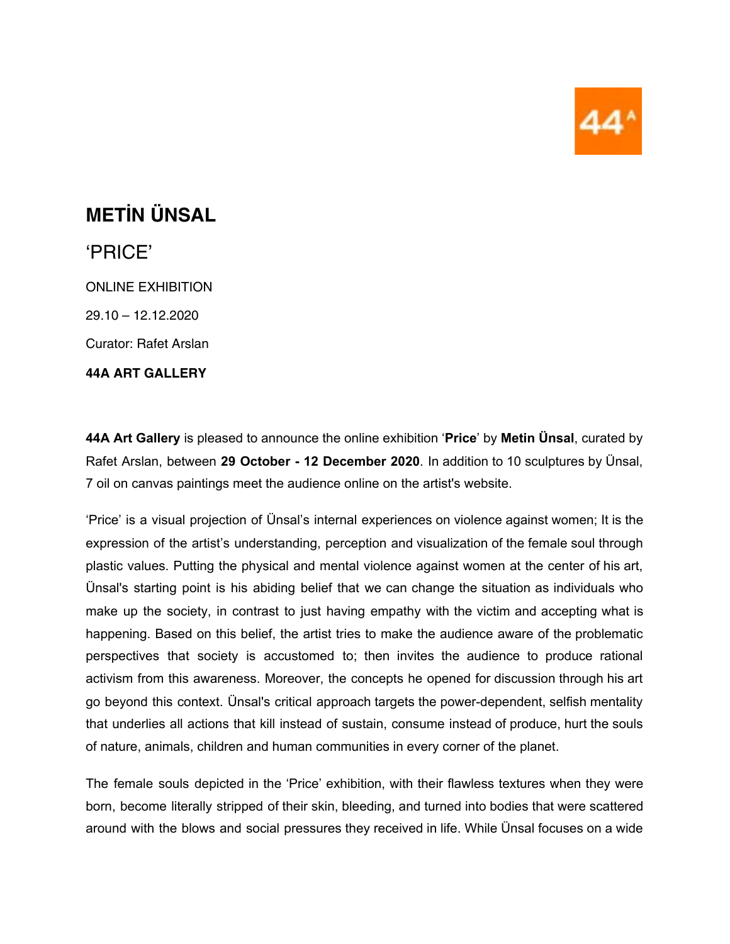

## **METİN ÜNSAL**

## 'PRICE'

ONLINE EXHIBITION 29.10 – 12.12.2020 Curator: Rafet Arslan

**44A ART GALLERY**

**44A Art Gallery** is pleased to announce the online exhibition '**Price**' by **Metin Ünsal**, curated by Rafet Arslan, between **29 October - 12 December 2020**. In addition to 10 sculptures by Ünsal, 7 oil on canvas paintings meet the audience online on the artist's website.

'Price' is a visual projection of Ünsal's internal experiences on violence against women; It is the expression of the artist's understanding, perception and visualization of the female soul through plastic values. Putting the physical and mental violence against women at the center of his art, Ünsal's starting point is his abiding belief that we can change the situation as individuals who make up the society, in contrast to just having empathy with the victim and accepting what is happening. Based on this belief, the artist tries to make the audience aware of the problematic perspectives that society is accustomed to; then invites the audience to produce rational activism from this awareness. Moreover, the concepts he opened for discussion through his art go beyond this context. Ünsal's critical approach targets the power-dependent, selfish mentality that underlies all actions that kill instead of sustain, consume instead of produce, hurt the souls of nature, animals, children and human communities in every corner of the planet.

The female souls depicted in the 'Price' exhibition, with their flawless textures when they were born, become literally stripped of their skin, bleeding, and turned into bodies that were scattered around with the blows and social pressures they received in life. While Ünsal focuses on a wide